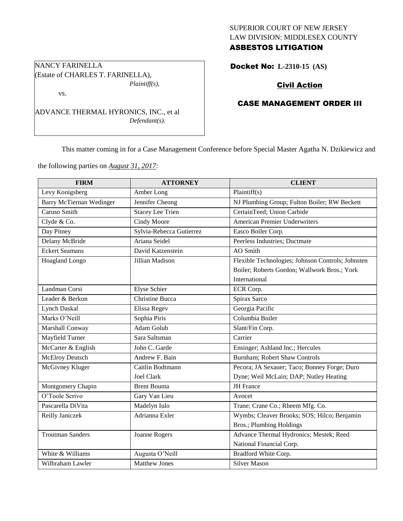# SUPERIOR COURT OF NEW JERSEY LAW DIVISION: MIDDLESEX COUNTY ASBESTOS LITIGATION

Docket No: **L-2310-15 (AS)** 

# Civil Action

# CASE MANAGEMENT ORDER III

This matter coming in for a Case Management Conference before Special Master Agatha N. Dzikiewicz and

the following parties on *August 31, 2017:*

| <b>FIRM</b>              | <b>ATTORNEY</b>          | <b>CLIENT</b>                                     |  |
|--------------------------|--------------------------|---------------------------------------------------|--|
| Levy Konigsberg          | Amber Long               | Plaintiff(s)                                      |  |
| Barry McTiernan Wedinger | Jennifer Cheong          | NJ Plumbing Group; Fulton Boiler; RW Beckett      |  |
| Caruso Smith             | <b>Stacey Lee Trien</b>  | CertainTeed; Union Carbide                        |  |
| Clyde & Co.              | Cindy Moore              | <b>American Premier Underwriters</b>              |  |
| Day Pitney               | Sylvia-Rebecca Gutierrez | Easco Boiler Corp.                                |  |
| Delany McBride           | Ariana Seidel            | Peerless Industries; Ductmate                     |  |
| <b>Eckert Seamans</b>    | David Katzenstein        | AO Smith                                          |  |
| Hoagland Longo           | Jillian Madison          | Flexible Technologies; Johnson Controls; Johnsten |  |
|                          |                          | Boiler; Roberts Gordon; Wallwork Bros.; York      |  |
|                          |                          | International                                     |  |
| Landman Corsi            | <b>Elyse Schier</b>      | ECR Corp.                                         |  |
| Leader & Berkon          | Christine Bucca          | Spirax Sarco                                      |  |
| <b>Lynch Daskal</b>      | Elissa Regev             | Georgia Pacific                                   |  |
| Marks O'Neill            | Sophia Piris             | Columbia Boiler                                   |  |
| Marshall Conway          | Adam Golub               | Slant/Fin Corp.                                   |  |
| Mayfield Turner          | Sara Saltsman            | Carrier                                           |  |
| McCarter & English       | John C. Garde            | Ensinger; Ashland Inc.; Hercules                  |  |
| <b>McElroy Deutsch</b>   | Andrew F. Bain           | Burnham; Robert Shaw Controls                     |  |
| McGivney Kluger          | Caitlin Bodtmann         | Pecora; JA Sexauer; Taco; Bonney Forge; Duro      |  |
|                          | <b>Joel Clark</b>        | Dyne; Weil McLain; DAP; Nutley Heating            |  |
| Montgomery Chapin        | <b>Brent Bouma</b>       | <b>JH</b> France                                  |  |
| O'Toole Scrivo           | Gary Van Lieu            | Avocet                                            |  |
| Pascarella DiVita        | Madelyn Iulo             | Trane; Crane Co.; Rheem Mfg. Co.                  |  |
| Reilly Janiczek          | Adrianna Exler           | Wymbs; Cleaver Brooks; SOS; Hilco; Benjamin       |  |
|                          |                          | <b>Bros.; Plumbing Holdings</b>                   |  |
| <b>Troutman Sanders</b>  | Joanne Rogers            | Advance Thermal Hydronics; Mestek; Reed           |  |
|                          |                          | National Financial Corp.                          |  |
| White & Williams         | Augusta O'Neill          | Bradford White Corp.                              |  |
| Wilbraham Lawler         | Matthew Jones            | <b>Silver Mason</b>                               |  |

NANCY FARINELLA (Estate of CHARLES T. FARINELLA), *Plaintiff(s),*

ADVANCE THERMAL HYRONICS, INC., et al

*Defendant(s).*

vs.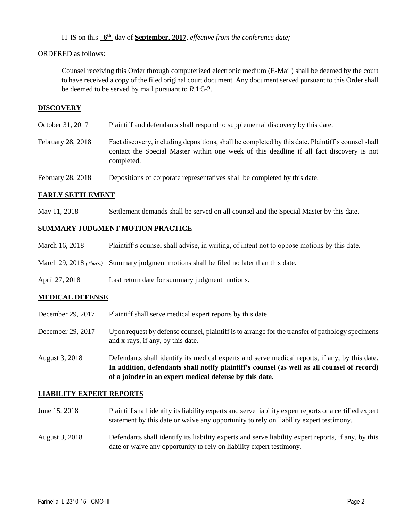IT IS on this  $6^{\text{th}}$  day of **September, 2017**, *effective from the conference date*;

# ORDERED as follows:

Counsel receiving this Order through computerized electronic medium (E-Mail) shall be deemed by the court to have received a copy of the filed original court document. Any document served pursuant to this Order shall be deemed to be served by mail pursuant to *R*.1:5-2.

# **DISCOVERY**

| October 31, 2017 | Plaintiff and defendants shall respond to supplemental discovery by this date. |  |
|------------------|--------------------------------------------------------------------------------|--|

- February 28, 2018 Fact discovery, including depositions, shall be completed by this date. Plaintiff's counsel shall contact the Special Master within one week of this deadline if all fact discovery is not completed.
- February 28, 2018 Depositions of corporate representatives shall be completed by this date.

# **EARLY SETTLEMENT**

May 11, 2018 Settlement demands shall be served on all counsel and the Special Master by this date.

### **SUMMARY JUDGMENT MOTION PRACTICE**

- March 16, 2018 Plaintiff's counsel shall advise, in writing, of intent not to oppose motions by this date.
- March 29, 2018 *(Thurs.)* Summary judgment motions shall be filed no later than this date.
- April 27, 2018 Last return date for summary judgment motions.

# **MEDICAL DEFENSE**

- December 29, 2017 Plaintiff shall serve medical expert reports by this date.
- December 29, 2017 Upon request by defense counsel, plaintiff is to arrange for the transfer of pathology specimens and x-rays, if any, by this date.
- August 3, 2018 Defendants shall identify its medical experts and serve medical reports, if any, by this date. **In addition, defendants shall notify plaintiff's counsel (as well as all counsel of record) of a joinder in an expert medical defense by this date.**

### **LIABILITY EXPERT REPORTS**

- June 15, 2018 Plaintiff shall identify its liability experts and serve liability expert reports or a certified expert statement by this date or waive any opportunity to rely on liability expert testimony.
- August 3, 2018 Defendants shall identify its liability experts and serve liability expert reports, if any, by this date or waive any opportunity to rely on liability expert testimony.

 $\_$  ,  $\_$  ,  $\_$  ,  $\_$  ,  $\_$  ,  $\_$  ,  $\_$  ,  $\_$  ,  $\_$  ,  $\_$  ,  $\_$  ,  $\_$  ,  $\_$  ,  $\_$  ,  $\_$  ,  $\_$  ,  $\_$  ,  $\_$  ,  $\_$  ,  $\_$  ,  $\_$  ,  $\_$  ,  $\_$  ,  $\_$  ,  $\_$  ,  $\_$  ,  $\_$  ,  $\_$  ,  $\_$  ,  $\_$  ,  $\_$  ,  $\_$  ,  $\_$  ,  $\_$  ,  $\_$  ,  $\_$  ,  $\_$  ,